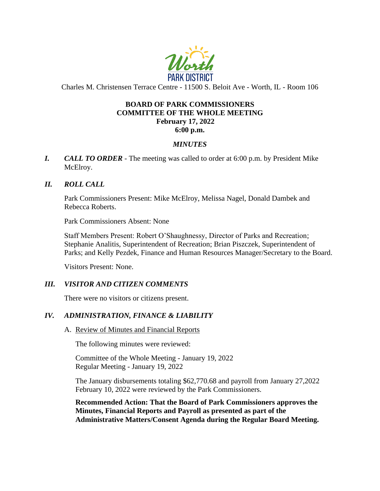

Charles M. Christensen Terrace Centre - 11500 S. Beloit Ave - Worth, IL - Room 106

## **BOARD OF PARK COMMISSIONERS COMMITTEE OF THE WHOLE MEETING February 17, 2022 6:00 p.m.**

# *MINUTES*

*I. CALL TO ORDER* - The meeting was called to order at 6:00 p.m. by President Mike McElroy.

## *II. ROLL CALL*

Park Commissioners Present: Mike McElroy, Melissa Nagel, Donald Dambek and Rebecca Roberts.

Park Commissioners Absent: None

Staff Members Present: Robert O'Shaughnessy, Director of Parks and Recreation; Stephanie Analitis, Superintendent of Recreation; Brian Piszczek, Superintendent of Parks; and Kelly Pezdek, Finance and Human Resources Manager/Secretary to the Board.

Visitors Present: None.

### *III. VISITOR AND CITIZEN COMMENTS*

There were no visitors or citizens present.

# *IV. ADMINISTRATION, FINANCE & LIABILITY*

A. Review of Minutes and Financial Reports

The following minutes were reviewed:

Committee of the Whole Meeting - January 19, 2022 Regular Meeting - January 19, 2022

The January disbursements totaling \$62,770.68 and payroll from January 27,2022 February 10, 2022 were reviewed by the Park Commissioners.

**Recommended Action: That the Board of Park Commissioners approves the Minutes, Financial Reports and Payroll as presented as part of the Administrative Matters/Consent Agenda during the Regular Board Meeting.**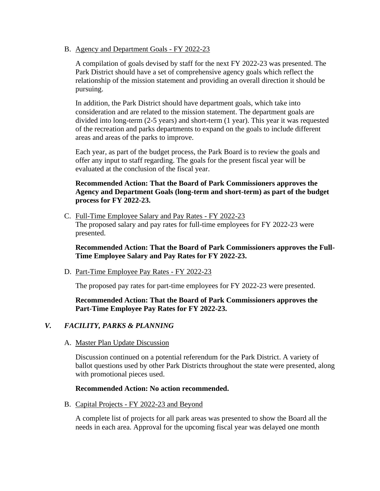B. Agency and Department Goals - FY 2022-23

A compilation of goals devised by staff for the next FY 2022-23 was presented. The Park District should have a set of comprehensive agency goals which reflect the relationship of the mission statement and providing an overall direction it should be pursuing.

In addition, the Park District should have department goals, which take into consideration and are related to the mission statement. The department goals are divided into long-term (2-5 years) and short-term (1 year). This year it was requested of the recreation and parks departments to expand on the goals to include different areas and areas of the parks to improve.

Each year, as part of the budget process, the Park Board is to review the goals and offer any input to staff regarding. The goals for the present fiscal year will be evaluated at the conclusion of the fiscal year.

# **Recommended Action: That the Board of Park Commissioners approves the Agency and Department Goals (long-term and short-term) as part of the budget process for FY 2022-23.**

C. Full-Time Employee Salary and Pay Rates - FY 2022-23 The proposed salary and pay rates for full-time employees for FY 2022-23 were presented.

**Recommended Action: That the Board of Park Commissioners approves the Full-Time Employee Salary and Pay Rates for FY 2022-23.**

D. Part-Time Employee Pay Rates - FY 2022-23

The proposed pay rates for part-time employees for FY 2022-23 were presented.

### **Recommended Action: That the Board of Park Commissioners approves the Part-Time Employee Pay Rates for FY 2022-23.**

### *V. FACILITY, PARKS & PLANNING*

#### A. Master Plan Update Discussion

Discussion continued on a potential referendum for the Park District. A variety of ballot questions used by other Park Districts throughout the state were presented, along with promotional pieces used.

#### **Recommended Action: No action recommended.**

B. Capital Projects - FY 2022-23 and Beyond

A complete list of projects for all park areas was presented to show the Board all the needs in each area. Approval for the upcoming fiscal year was delayed one month